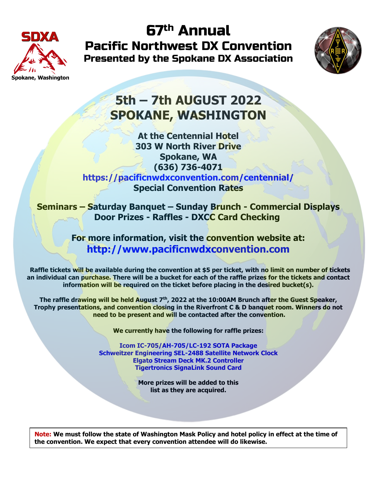

67th Annual Pacific Northwest DX Convention Presented by the Spokane DX Association



# **5th – 7th AUGUST 2022 SPOKANE, WASHINGTON**

**At the Centennial Hotel 303 W North River Drive Spokane, WA (636) 736-4071 https://pacificnwdxconvention.com/centennial/ Special Convention Rates**

**Seminars – Saturday Banquet – Sunday Brunch - Commercial Displays Door Prizes - Raffles - DXCC Card Checking** 

> **For more information, visit the convention website at: http://www.pacificnwdxconvention.com**

 **Raffle tickets will be available during the convention at \$5 per ticket, with no limit on number of tickets an individual can purchase. There will be a bucket for each of the raffle prizes for the tickets and contact information will be required on the ticket before placing in the desired bucket(s).**

**The raffle drawing will be held August 7th, 2022 at the 10:00AM Brunch after the Guest Speaker, Trophy presentations, and convention closing in the Riverfront C & D banquet room. Winners do not need to be present and will be contacted after the convention.**

**We currently have the following for raffle prizes:**

**Icom IC-705/AH-705/LC-192 SOTA Package Schweitzer Engineering SEL-2488 Satellite Network Clock Elgato Stream Deck MK.2 Controller Tigertronics SignaLink Sound Card**

> **More prizes will be added to this list as they are acquired.**

**Note: We must follow the state of Washington Mask Policy and hotel policy in effect at the time of the convention. We expect that every convention attendee will do likewise.**